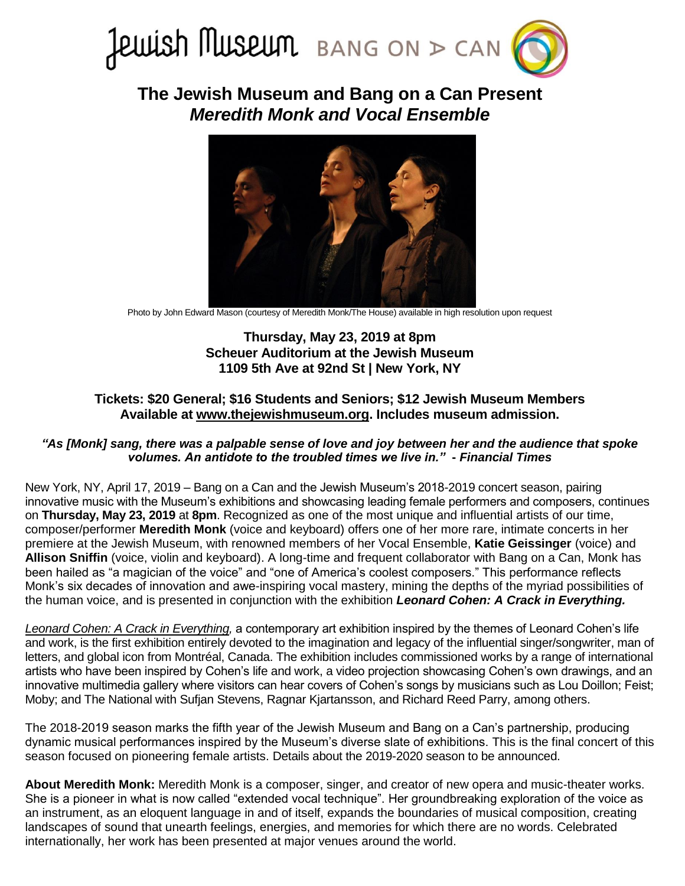

**The Jewish Museum and Bang on a Can Present** *Meredith Monk and Vocal Ensemble*



Photo by John Edward Mason (courtesy of Meredith Monk/The House) available in high resolution upon request

# **Thursday, May 23, 2019 at 8pm Scheuer Auditorium at the Jewish Museum 1109 5th Ave at 92nd St | New York, NY**

## **Tickets: \$20 General; \$16 Students and Seniors; \$12 Jewish Museum Members Available at [www.thejewishmuseum.org.](https://thejewishmuseum.org/calendar/events/2019/05/23/bang-on-a-can-meredith-monk-052319) Includes museum admission.**

### *"As [Monk] sang, there was a palpable sense of love and joy between her and the audience that spoke volumes. An antidote to the troubled times we live in."* **-** *Financial Times*

New York, NY, April 17, 2019 – Bang on a Can and the Jewish Museum's 2018-2019 concert season, pairing innovative music with the Museum's exhibitions and showcasing leading female performers and composers, continues on **Thursday, May 23, 2019** at **8pm**. Recognized as one of the most unique and influential artists of our time, composer/performer **Meredith Monk** (voice and keyboard) offers one of her more rare, intimate concerts in her premiere at the Jewish Museum, with renowned members of her Vocal Ensemble, **Katie Geissinger** (voice) and **Allison Sniffin** (voice, violin and keyboard). A long-time and frequent collaborator with Bang on a Can, Monk has been hailed as "a magician of the voice" and "one of America's coolest composers." This performance reflects Monk's six decades of innovation and awe-inspiring vocal mastery, mining the depths of the myriad possibilities of the human voice, and is presented in conjunction with the exhibition *Leonard Cohen: A Crack in Everything.*

*[Leonard Cohen: A Crack in Everything,](https://thejewishmuseum.org/exhibitions/leonard-cohen-a-crack-in-everything)* a contemporary art exhibition inspired by the themes of Leonard Cohen's life and work, is the first exhibition entirely devoted to the imagination and legacy of the influential singer/songwriter, man of letters, and global icon from Montréal, Canada. The exhibition includes commissioned works by a range of international artists who have been inspired by Cohen's life and work, a video projection showcasing Cohen's own drawings, and an innovative multimedia gallery where visitors can hear covers of Cohen's songs by musicians such as Lou Doillon; Feist; Moby; and The National with Sufjan Stevens, Ragnar Kjartansson, and Richard Reed Parry, among others.

The 2018-2019 season marks the fifth year of the Jewish Museum and Bang on a Can's partnership, producing dynamic musical performances inspired by the Museum's diverse slate of exhibitions. This is the final concert of this season focused on pioneering female artists. Details about the 2019-2020 season to be announced.

**About Meredith Monk:** Meredith Monk is a composer, singer, and creator of new opera and music-theater works. She is a pioneer in what is now called "extended vocal technique". Her groundbreaking exploration of the voice as an instrument, as an eloquent language in and of itself, expands the boundaries of musical composition, creating landscapes of sound that unearth feelings, energies, and memories for which there are no words. Celebrated internationally, her work has been presented at major venues around the world.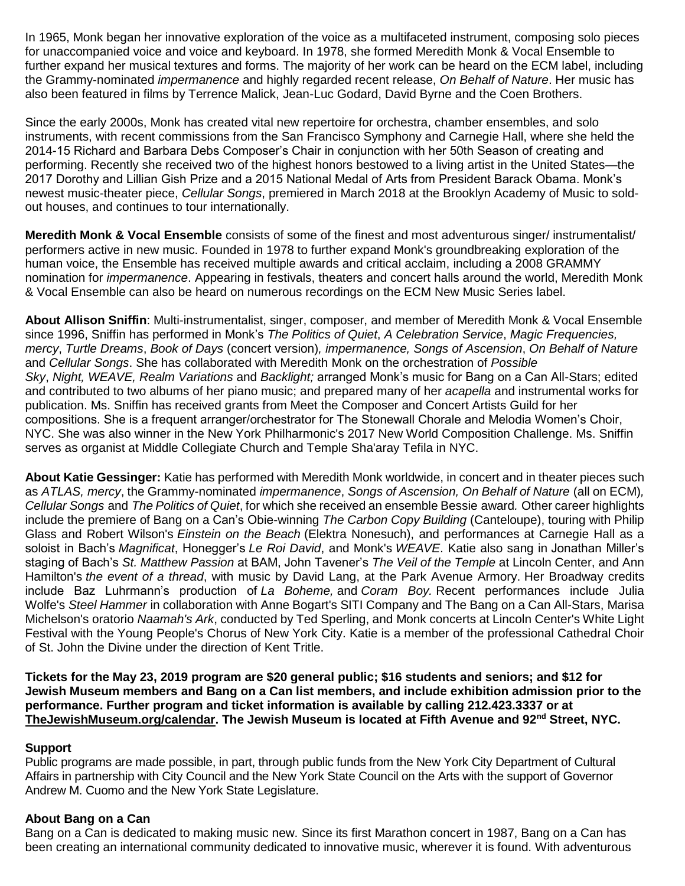In 1965, Monk began her innovative exploration of the voice as a multifaceted instrument, composing solo pieces for unaccompanied voice and voice and keyboard. In 1978, she formed Meredith Monk & Vocal Ensemble to further expand her musical textures and forms. The majority of her work can be heard on the ECM label, including the Grammy-nominated *impermanence* and highly regarded recent release, *On Behalf of Nature*. Her music has also been featured in films by Terrence Malick, Jean-Luc Godard, David Byrne and the Coen Brothers.

Since the early 2000s, Monk has created vital new repertoire for orchestra, chamber ensembles, and solo instruments, with recent commissions from the San Francisco Symphony and Carnegie Hall, where she held the 2014-15 Richard and Barbara Debs Composer's Chair in conjunction with her 50th Season of creating and performing. Recently she received two of the highest honors bestowed to a living artist in the United States—the 2017 Dorothy and Lillian Gish Prize and a 2015 National Medal of Arts from President Barack Obama. Monk's newest music-theater piece, *Cellular Songs*, premiered in March 2018 at the Brooklyn Academy of Music to soldout houses, and continues to tour internationally.

**Meredith Monk & Vocal Ensemble** consists of some of the finest and most adventurous singer/ instrumentalist/ performers active in new music. Founded in 1978 to further expand Monk's groundbreaking exploration of the human voice, the Ensemble has received multiple awards and critical acclaim, including a 2008 GRAMMY nomination for *impermanence*. Appearing in festivals, theaters and concert halls around the world, Meredith Monk & Vocal Ensemble can also be heard on numerous recordings on the ECM New Music Series label.

**About Allison Sniffin**: Multi-instrumentalist, singer, composer, and member of Meredith Monk & Vocal Ensemble since 1996, Sniffin has performed in Monk's *The Politics of Quiet*, *A Celebration Service*, *Magic Frequencies, mercy*, *Turtle Dreams*, *Book of Days* (concert version)*, impermanence, Songs of Ascension*, *On Behalf of Nature* and *Cellular Songs*. She has collaborated with Meredith Monk on the orchestration of *Possible Sky*, *Night, WEAVE, Realm Variations* and *Backlight;* arranged Monk's music for Bang on a Can All-Stars; edited and contributed to two albums of her piano music; and prepared many of her *acapella* and instrumental works for publication. Ms. Sniffin has received grants from Meet the Composer and Concert Artists Guild for her compositions. She is a frequent arranger/orchestrator for The Stonewall Chorale and Melodia Women's Choir, NYC. She was also winner in the New York Philharmonic's 2017 New World Composition Challenge. Ms. Sniffin serves as organist at Middle Collegiate Church and Temple Sha'aray Tefila in NYC.

**About Katie Gessinger:** Katie has performed with Meredith Monk worldwide, in concert and in theater pieces such as *ATLAS, mercy*, the Grammy-nominated *impermanence*, *Songs of Ascension, On Behalf of Nature* (all on ECM)*, Cellular Songs* and *The Politics of Quiet*, for which she received an ensemble Bessie award*.* Other career highlights include the premiere of Bang on a Can's Obie-winning *The Carbon Copy Building* (Canteloupe), touring with Philip Glass and Robert Wilson's *Einstein on the Beach* (Elektra Nonesuch), and performances at Carnegie Hall as a soloist in Bach's *Magnificat*, Honegger's *Le Roi David*, and Monk's *WEAVE*. Katie also sang in Jonathan Miller's staging of Bach's *St. Matthew Passion* at BAM, John Tavener's *The Veil of the Temple* at Lincoln Center, and Ann Hamilton's *the event of a thread*, with music by David Lang, at the Park Avenue Armory. Her Broadway credits include Baz Luhrmann's production of *La Boheme,* and *Coram Boy.* Recent performances include Julia Wolfe's *Steel Hammer* in collaboration with Anne Bogart's SITI Company and The Bang on a Can All-Stars, Marisa Michelson's oratorio *Naamah's Ark*, conducted by Ted Sperling, and Monk concerts at Lincoln Center's White Light Festival with the Young People's Chorus of New York City. Katie is a member of the professional Cathedral Choir of St. John the Divine under the direction of Kent Tritle.

**Tickets for the May 23, 2019 program are \$20 general public; \$16 students and seniors; and \$12 for Jewish Museum members and Bang on a Can list members, and include exhibition admission prior to the performance. Further program and ticket information is available by calling 212.423.3337 or at [TheJewishMuseum.org/calendar.](http://thejewishmuseum.org/calendar) The Jewish Museum is located at Fifth Avenue and 92nd Street, NYC.**

### **Support**

Public programs are made possible, in part, through public funds from the New York City Department of Cultural Affairs in partnership with City Council and the New York State Council on the Arts with the support of Governor Andrew M. Cuomo and the New York State Legislature.

## **About Bang on a Can**

Bang on a Can is dedicated to making music new. Since its first Marathon concert in 1987, Bang on a Can has been creating an international community dedicated to innovative music, wherever it is found. With adventurous